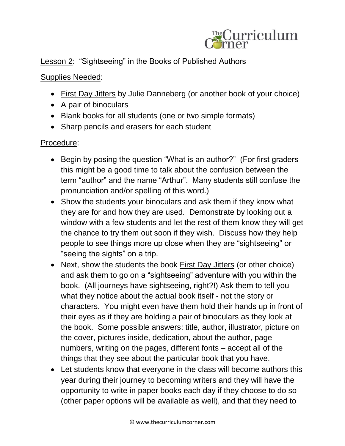

## Lesson 2: "Sightseeing" in the Books of Published Authors

## Supplies Needed:

- First Day Jitters by Julie Danneberg (or another book of your choice)
- A pair of binoculars
- Blank books for all students (one or two simple formats)
- Sharp pencils and erasers for each student

## Procedure:

- Begin by posing the question "What is an author?" (For first graders this might be a good time to talk about the confusion between the term "author" and the name "Arthur". Many students still confuse the pronunciation and/or spelling of this word.)
- Show the students your binoculars and ask them if they know what they are for and how they are used. Demonstrate by looking out a window with a few students and let the rest of them know they will get the chance to try them out soon if they wish. Discuss how they help people to see things more up close when they are "sightseeing" or "seeing the sights" on a trip.
- Next, show the students the book First Day Jitters (or other choice) and ask them to go on a "sightseeing" adventure with you within the book. (All journeys have sightseeing, right?!) Ask them to tell you what they notice about the actual book itself - not the story or characters. You might even have them hold their hands up in front of their eyes as if they are holding a pair of binoculars as they look at the book. Some possible answers: title, author, illustrator, picture on the cover, pictures inside, dedication, about the author, page numbers, writing on the pages, different fonts – accept all of the things that they see about the particular book that you have.
- Let students know that everyone in the class will become authors this year during their journey to becoming writers and they will have the opportunity to write in paper books each day if they choose to do so (other paper options will be available as well), and that they need to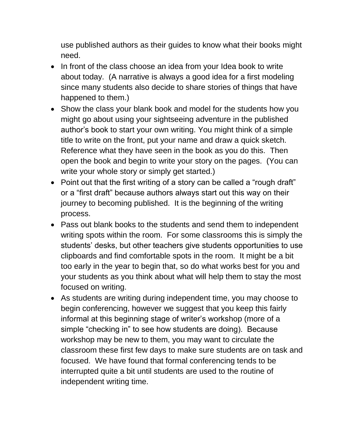use published authors as their guides to know what their books might need.

- In front of the class choose an idea from your Idea book to write about today. (A narrative is always a good idea for a first modeling since many students also decide to share stories of things that have happened to them.)
- Show the class your blank book and model for the students how you might go about using your sightseeing adventure in the published author's book to start your own writing. You might think of a simple title to write on the front, put your name and draw a quick sketch. Reference what they have seen in the book as you do this. Then open the book and begin to write your story on the pages. (You can write your whole story or simply get started.)
- Point out that the first writing of a story can be called a "rough draft" or a "first draft" because authors always start out this way on their journey to becoming published. It is the beginning of the writing process.
- Pass out blank books to the students and send them to independent writing spots within the room. For some classrooms this is simply the students' desks, but other teachers give students opportunities to use clipboards and find comfortable spots in the room. It might be a bit too early in the year to begin that, so do what works best for you and your students as you think about what will help them to stay the most focused on writing.
- As students are writing during independent time, you may choose to begin conferencing, however we suggest that you keep this fairly informal at this beginning stage of writer's workshop (more of a simple "checking in" to see how students are doing). Because workshop may be new to them, you may want to circulate the classroom these first few days to make sure students are on task and focused. We have found that formal conferencing tends to be interrupted quite a bit until students are used to the routine of independent writing time.